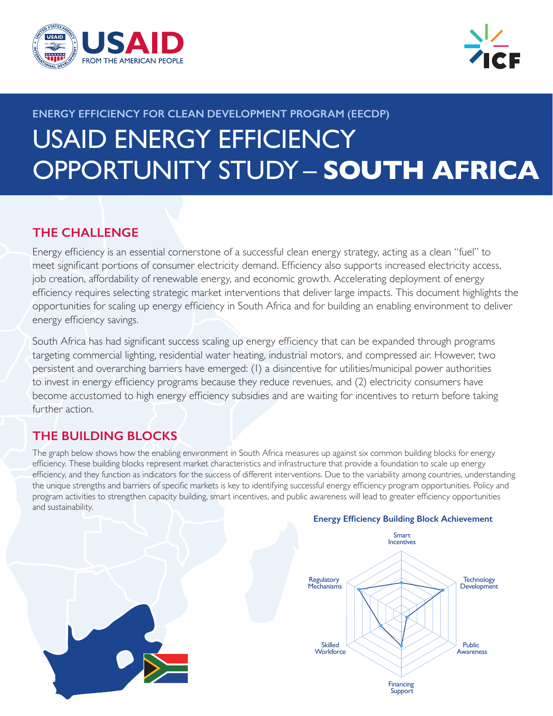



# **ENERGY EFFICIENCY FOR CLEAN DEVELOPMENT PROGRAM (EECDP)** USAID ENERGY EFFICIENCY OPPORTUNITY STUDY – **SOUTH AFRICA**

## **THE CHALLENGE**

Energy efficiency is an essential cornerstone of a successful clean energy strategy, acting as a clean "fuel" to meet significant portions of consumer electricity demand. Efficiency also supports increased electricity access, job creation, affordability of renewable energy, and economic growth. Accelerating deployment of energy efficiency requires selecting strategic market interventions that deliver large impacts. This document highlights the opportunities for scaling up energy efficiency in South Africa and for building an enabling environment to deliver energy efficiency savings.

South Africa has had significant success scaling up energy efficiency that can be expanded through programs targeting commercial lighting, residential water heating, industrial motors, and compressed air. However, two persistent and overarching barriers have emerged: (1) a disincentive for utilities/municipal power authorities to invest in energy efficiency programs because they reduce revenues, and (2) electricity consumers have become accustomed to high energy efficiency subsidies and are waiting for incentives to return before taking further action.

## **THE BUILDING BLOCKS**

The graph below shows how the enabling environment in South Africa measures up against six common building blocks for energy efficiency. These building blocks represent market characteristics and infrastructure that provide a foundation to scale up energy efficiency, and they function as indicators for the success of different interventions. Due to the variability among countries, understanding the unique strengths and barriers of specific markets is key to identifying successful energy efficiency program opportunities. Policy and program activities to strengthen capacity building, smart incentives, and public awareness will lead to greater efficiency opportunities and sustainability.